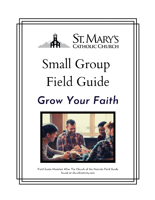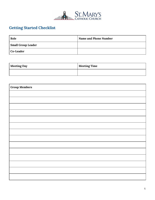

# **Getting Started Checklist**

| Role                      | Name and Phone Number |
|---------------------------|-----------------------|
| <b>Small Group Leader</b> |                       |
| Co-Leader                 |                       |

| <b>Meeting Day</b> | <b>Meeting Time</b> |
|--------------------|---------------------|
|                    |                     |

| <b>Group Members</b> |  |
|----------------------|--|
|                      |  |
|                      |  |
|                      |  |
|                      |  |
|                      |  |
|                      |  |
|                      |  |
|                      |  |
|                      |  |
|                      |  |
|                      |  |
|                      |  |
|                      |  |
|                      |  |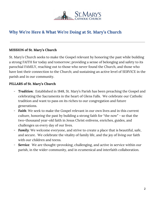

## **Why We're Here & What We're Doing at St. Mary's Church**

### **MISSION of St. Mary's Church**

St. Mary's Church seeks to make the Gospel relevant by honoring the past while building a strong FAITH for today and tomorrow; providing a sense of belonging and safety to its parochial FAMILY, reaching out to those who never found the Church, and those who have lost their connection to the Church; and sustaining an active level of SERVICE in the parish and in our community.

### **PILLARS of St. Mary's Church**

- *Tradition*: Established in 1848, St. Mary's Parish has been preaching the Gospel and celebrating the Sacraments in the heart of Glens Falls. We celebrate our Catholic tradition and want to pass on its riches to our congregation and future generations.
- Faith: We seek to make the Gospel relevant in our own lives and in this current culture, honoring the past by building a strong faith for "the now" - so that the two-thousand year-old faith in Jesus Christ enlivens, enriches, guides, and challenges us every day of our lives.
- *Family*: We welcome everyone, and strive to create a place that is beautiful, safe, and secure. We celebrate the vitality of family life, and the joy of living our faith with our children and teens.
- **Service:** We are thought-provoking, challenging, and active in service within our parish, in the wider community, and in ecumenical and interfaith collaboration.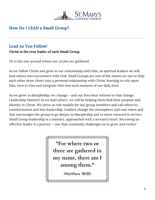

## **How Do I LEAD a Small Group?**

## **Lead As You Follow!**

### **Christ is the true leader of each Small Group.**

He is the one around whom our circles are gathered.

As we follow Christ and grow in our relationship with Him, as spiritual leaders we will lead others into encounters with God. Small Groups are one of the means we use to help each other draw closer into a personal relationship with Christ, learning to rely upon Him, turn to Him and integrate Him into each moment of our daily lives.

As we grow in discipleship, we change – and our lives bear witness to that change. Leadership Matters! As we lead others, we will be helping them find their purpose and identity in Christ. We serve as role models for our group members and call others to transformation and into leadership. Leaders change the atmosphere and cast vision and that encourages the group to go deeper in discipleship and to move outward in service. Small Group leadership is a ministry, approached with a servant's heart. Becoming an effective leader is a journey – one that constantly challenges us to grow and evolve!

> "For where two or three are gathered in my name, there am I among them."

> > -Matthew 18:20-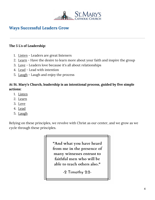

## **Ways Successful Leaders Grow**

#### **The 5 L's of Leadership:**

- 1. Listen Leaders are great listeners
- 2. Learn Have the desire to learn more about your faith and inspire the group
- 3. Love Leaders love because it's all about relationships
- 4. Lead Lead with intention
- 5. Laugh Laugh and enjoy the process

## **At St. Mary's Church, leadership is an intentional process, guided by five simple actions:**

- 1. Listen
- 2. Learn
- 3. Love
- 4. Lead
- 5. Laugh

Relying on these principles, we revolve with Christ as our center, and we grow as we cycle through these principles.

> "And what you have heard from me in the presence of many witnesses entrust to faithful men who will be able to teach others also."

> > -2 Timothy 2:2-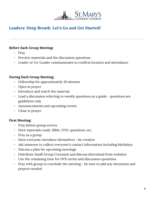

## **Leaders: Deep Breath. Let's Go and Get Started!**

#### **Before Each Group Meeting:**

- Pray
- Preview materials and the discussion questions
- Leader or Co-Leader communicates to confirm location and attendance

### **During Each Group Meeting:**

- Fellowship for approximately 10 minutes
- Open in prayer
- Introduce and watch the material
- Lead a discussion referring to weekly questions as a guide questions are guidelines only
- Announcements and upcoming events
- Close in prayer

### **First Meeting:**

- Pray before group arrives
- Have materials ready: Bible, DVD, questions, etc.
- Pray as a group
- Have everyone introduce themselves be creative
- Ask someone to collect everyone's contact information including birthdays
- Discuss a plan for upcoming meetings
- Distribute Small Group Covenant and discuss (download from website)
- Use the remaining time for DVD series and discussion questions
- Pray with group to conclude the meeting be sure to add any intentions and prayers needed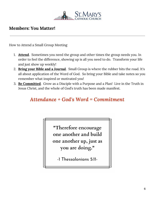

## **Members: You Matter!**

How to Attend a Small Group Meeting

- 1. **Attend**. Sometimes you need the group and other times the group needs you. In order to feel the difference, showing up is all you need to do. Transform your life and just show up weekly!
- 2. **Bring your Bible and a Journal**. Small Group is where the rubber hits the road. It's all about application of the Word of God. So bring your Bible and take notes so you remember what inspired or motivated you!
- 3. **Be Committed**. Grow as a Disciple with a Purpose and a Plan! Live in the Truth in Jesus Christ, and the whole of God's truth has been made manifest.

# *Attendance + God's Word = Commitment*

"Therefore encourage one another and build one another up, just as you are doing."

-1 Thessalonians 5:11-